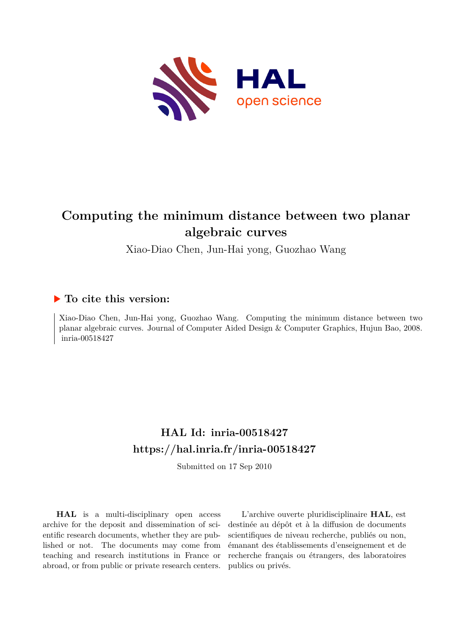

# **Computing the minimum distance between two planar algebraic curves**

Xiao-Diao Chen, Jun-Hai yong, Guozhao Wang

## **To cite this version:**

Xiao-Diao Chen, Jun-Hai yong, Guozhao Wang. Computing the minimum distance between two planar algebraic curves. Journal of Computer Aided Design & Computer Graphics, Hujun Bao, 2008. inria-00518427

## **HAL Id: inria-00518427 <https://hal.inria.fr/inria-00518427>**

Submitted on 17 Sep 2010

**HAL** is a multi-disciplinary open access archive for the deposit and dissemination of scientific research documents, whether they are published or not. The documents may come from teaching and research institutions in France or abroad, or from public or private research centers.

L'archive ouverte pluridisciplinaire **HAL**, est destinée au dépôt et à la diffusion de documents scientifiques de niveau recherche, publiés ou non, émanant des établissements d'enseignement et de recherche français ou étrangers, des laboratoires publics ou privés.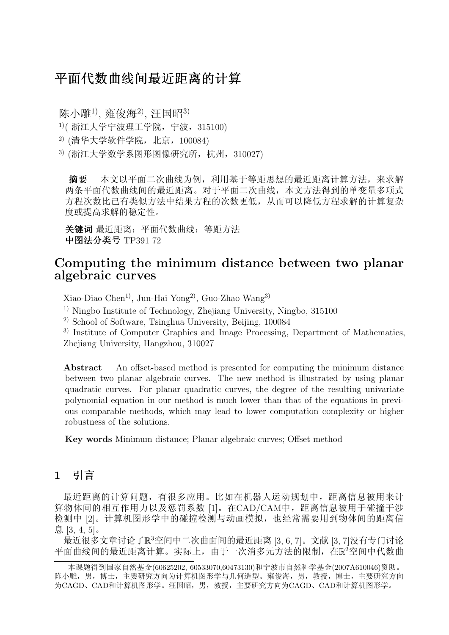## 平面代数曲线间最近距离的计算

陈小雕<sup>1)</sup>, 雍俊海<sup>2)</sup>, 汪国昭<sup>3)</sup>  $1$ <sup>1</sup> ( 浙江大学宁波理工学院, 宁波, 315100)  $^{2)}$  (清华大学软件学院, 北京, 100084)  $3)$  (浙江大学数学系图形图像研究所, 杭州, 310027)

摘要 本文以平面二次曲线为例,利用基于等距思想的最近距离计算方法,来求解 两条平面代数曲线间的最近距离。对于平面二次曲线,本文方法得到的单变量多项式 方程次数比已有类似方法中结果方程的次数更低,从而可以降低方程求解的计算复杂 度或提高求解的稳定性。

关键词 最近距离;平面代数曲线;等距方法 中图法分类号 TP391 72

## Computing the minimum distance between two planar algebraic curves

Xiao-Diao Chen1), Jun-Hai Yong2), Guo-Zhao Wang3)

1) Ningbo Institute of Technology, Zhejiang University, Ningbo, 315100

2) School of Software, Tsinghua University, Beijing, 100084

3) Institute of Computer Graphics and Image Processing, Department of Mathematics, Zhejiang University, Hangzhou, 310027

Abstract An offset-based method is presented for computing the minimum distance between two planar algebraic curves. The new method is illustrated by using planar quadratic curves. For planar quadratic curves, the degree of the resulting univariate polynomial equation in our method is much lower than that of the equations in previous comparable methods, which may lead to lower computation complexity or higher robustness of the solutions.

Key words Minimum distance; Planar algebraic curves; Offset method

## 1 引言

最近距离的计算问题,有很多应用。比如在机器人运动规划中,距离信息被用来计 算物体间的相互作用力以及惩罚系数 [1]。在CAD/CAM中,距离信息被用于碰撞干涉 检测中 [2]。计算机图形学中的碰撞检测与动画模拟,也经常需要用到物体间的距离信 息 [3, 4, 5]。

最近很多文章讨论了R <sup>3</sup>空间中二次曲面间的最近距离 [3, 6, 7]。文献 [3, 7]没有专门讨论 平面曲线间的最近距离计算。实际上,由于一次消多元方法的限制,在R2空间中代数曲

本课题得到国家自然基金(60625202, 60533070,60473130)和宁波市自然科学基金(2007A610046)资助。 陈小雕,男,博士,主要研究方向为计算机图形学与几何造型。雍俊海,男,教授,博士,主要研究方向 为CAGD、CAD和计算机图形学。汪国昭,男,教授,主要研究方向为CAGD、CAD和计算机图形学。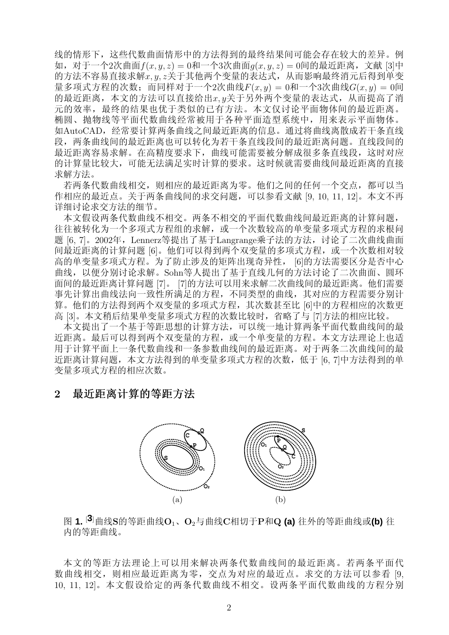线的情形下,这些代数曲面情形中的方法得到的最终结果间可能会存在较大的差异。例 如, 对于一个2次曲面 $f(x, y, z) = 0$ 和一个3次曲面 $g(x, y, z) = 0$ 间的最近距离, 文献 [3]中 的方法不容易直接求解x, y, z关于其他两个变量的表达式, 从而影响最终消元后得到单变 量多项式方程的次数;而同样对于一个2次曲线 $F(x, y) = 0$ 和一个3次曲线 $G(x, y) = 0$ 间 的最近距离,本文的方法可以直接给出x, y关于另外两个变量的表达式,从而提高了消 元的效率,最终的结果也优于类似的已有方法。本文仅讨论平面物体间的最近距离。 椭圆、抛物线等平面代数曲线经常被用于各种平面造型系统中,用来表示平面物体。 如AutoCAD,经常要计算两条曲线之间最近距离的信息。通过将曲线离散成若干条直线 段,两条曲线间的最近距离也可以转化为若干条直线段间的最近距离问题。直线段间的 最近距离容易求解。在高精度要求下,曲线可能需要被分解成很多条直线段,这时对应 的计算量比较大,可能无法满足实时计算的要求。这时候就需要曲线间最近距离的直接 求解方法。

若两条代数曲线相交,则相应的最近距离为零。他们之间的任何一个交点,都可以当 作相应的最近点。关于两条曲线间的求交问题,可以参看文献 [9, 10, 11, 12]。本文不再 详细讨论求交方法的细节。

本文假设两条代数曲线不相交。两条不相交的平面代数曲线间最近距离的计算问题, 往往被转化为一个多项式方程组的求解,或一个次数较高的单变量多项式方程的求根问 题 [6, 7]。2002年, Lennerz等提出了基于Langrange乘子法的方法, 讨论了二次曲线曲面 间最近距离的计算问题 [6]。他们可以得到两个双变量的多项式方程,或一个次数相对较 高的单变量多项式方程。为了防止涉及的矩阵出现奇异性, [6]的方法需要区分是否中心 曲线,以便分别讨论求解。Sohn等人提出了基于直线几何的方法讨论了二次曲面、圆环 面间的最近距离计算问题 [7]。 [7]的方法可以用来求解二次曲线间的最近距离。他们需要 事先计算出曲线法向一致性所满足的方程,不同类型的曲线,其对应的方程需要分别计 算。他们的方法得到两个双变量的多项式方程,其次数甚至比 [6]中的方程相应的次数更 高 [3]。本文稍后结果单变量多项式方程的次数比较时,省略了与 [7]方法的相应比较。

本文提出了一个基于等距思想的计算方法,可以统一地计算两条平面代数曲线间的最 近距离。最后可以得到两个双变量的方程,或一个单变量的方程。本文方法理论上也适 用于计算平面上一条代数曲线和一条参数曲线间的最近距离。对于两条二次曲线间的最 近距离计算问题,本文方法得到的单变量多项式方程的次数,低于 [6, 7]中方法得到的单 变量多项式方程的相应次数。

### 2 最近距离计算的等距方法



<sup>图</sup> **1.** [**3**]曲线S的等距曲线O1、O2与曲线C相切于P和<sup>Q</sup> **(a)** 往外的等距曲线或**(b)** <sup>往</sup> 内的等距曲线。

本文的等距方法理论上可以用来解决两条代数曲线间的最近距离。若两条平面代 数曲线相交,则相应最近距离为零,交点为对应的最近点。求交的方法可以参看 [9, 10, 11, 12]。本文假设给定的两条代数曲线不相交。设两条平面代数曲线的方程分别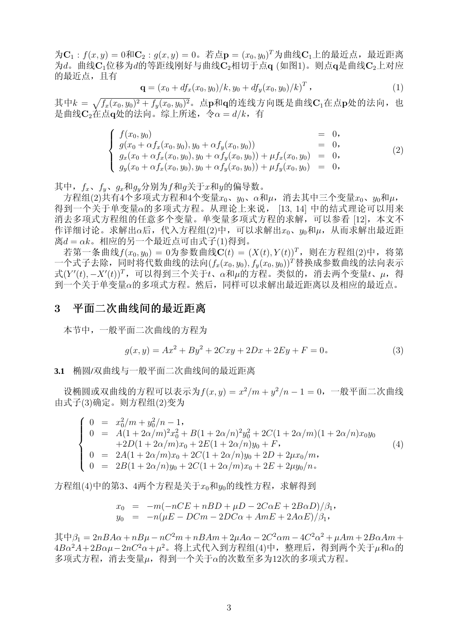$\mathcal{H}C_1$ :  $f(x,y) = 0 \mathcal{H}C_2$ :  $g(x,y) = 0$ 。若点 $\mathbf{p} = (x_0, y_0)^T \mathcal{H}$ 曲线 $C_1 \perp$ 的最近点, 最近距离 为d。曲线 $C_1$ 位移为d的等距线刚好与曲线 $C_2$ 相切于点q (如图1)。则点q是曲线 $C_2$ 上对应 的最近点,且有

$$
\mathbf{q} = (x_0 + df_x(x_0, y_0)/k, y_0 + df_y(x_0, y_0)/k)^T, \qquad (1)
$$

其中 $k =$ p  $\overline{f_x(x_0,y_0)^2+f_y(x_0,y_0)^2}$ 。点p和q的连线方向既是曲线C1在点p处的法向,也 是曲线C<sub>2</sub>在点α处的法向。综上所述, 令α = d/k, 有

$$
\begin{cases}\nf(x_0, y_0) & = 0, \\
g(x_0 + \alpha f_x(x_0, y_0), y_0 + \alpha f_y(x_0, y_0)) & = 0, \\
g_x(x_0 + \alpha f_x(x_0, y_0), y_0 + \alpha f_y(x_0, y_0)) + \mu f_x(x_0, y_0) & = 0, \\
g_y(x_0 + \alpha f_x(x_0, y_0), y_0 + \alpha f_y(x_0, y_0)) + \mu f_y(x_0, y_0) & = 0,\n\end{cases}
$$
\n(2)

其中,  $f_x$ ,  $f_y$ ,  $g_x \bar{m} g_y \hat{m}$ 为 $f \bar{m} g$ 关于 $x \bar{m} g$ 的偏导数。

方程组(2)共有4个多项式方程和4个变量 $x_0$ 、 $y_0$ 、α和μ,消去其中三个变量 $x_0$ 、 $y_0$ 和μ, 得到一个关于单变量α的多项式方程。从理论上来说, [13, 14] 中的结式理论可以用来 消去多项式方程组的任意多个变量。单变量多项式方程的求解,可以参看 [12],本文不 作详细讨论。求解出α后,代入方程组(2)中,可以求解出xo、uo和μ,从而求解出最近距  $\mathbb{B}d = \alpha k$ 。相应的另一个最近点可由式子(1)得到。

若第一条曲线 $f(x_0, y_0) = 0$ 为参数曲线 $\mathbf{C}(t) = (X(t), Y(t))^T$ , 则在方程组(2)中, 将第 一个式子去除,同时将代数曲线的法向 $(f_x(x_0, y_0), f_y(x_0, y_0))^T$ 替换成参数曲线的法向表示 式 $(Y'(t), -X'(t))^T$ , 可以得到三个关于t、α和μ的方程。类似的, 消去两个变量t、μ, 得 到一个关于单变量α的多项式方程。然后,同样可以求解出最近距离以及相应的最近点。

#### 3 平面二次曲线间的最近距离

本节中,一般平面二次曲线的方程为

$$
g(x,y) = Ax^2 + By^2 + 2Cxy + 2Dx + 2Ey + F = 0.
$$
\n(3)

**3.1** 椭圆**/**双曲线与一般平面二次曲线间的最近距离

设椭圆或双曲线的方程可以表示为 $f(x, y) = x^2/m + y^2/n - 1 = 0$ , 一般平面二次曲线 由式子(3)确定。则方程组(2)变为

$$
\begin{cases}\n0 &= x_0^2/m + y_0^2/n - 1, \n0 &= A(1 + 2\alpha/m)^2 x_0^2 + B(1 + 2\alpha/n)^2 y_0^2 + 2C(1 + 2\alpha/m)(1 + 2\alpha/n)x_0y_0 \n+2D(1 + 2\alpha/m)x_0 + 2E(1 + 2\alpha/n)y_0 + F, \n0 &= 2A(1 + 2\alpha/m)x_0 + 2C(1 + 2\alpha/n)y_0 + 2D + 2\mu x_0/m, \n0 &= 2B(1 + 2\alpha/n)y_0 + 2C(1 + 2\alpha/m)x_0 + 2E + 2\mu y_0/n.\n\end{cases}
$$
\n(4)

方程组(4)中的第3、4两个方程是关于 $x_0$ 和 $y_0$ 的线性方程,求解得到

$$
x_0 = -m(-nCE + nBD + \mu D - 2C\alpha E + 2B\alpha D)/\beta_1,
$$
  
\n
$$
y_0 = -n(\mu E - D Cm - 2DC\alpha + AmE + 2A\alpha E)/\beta_1,
$$

 $\ddot{\text{H}} + \beta_1 = 2nBA\alpha + nB\mu - nC^2m + nBAm + 2\mu A\alpha - 2C^2\alpha m - 4C^2\alpha^2 + \mu Am + 2B\alpha Am +$  $4B\alpha^2A+2B\alpha\mu-2nC^2\alpha+\mu^2$ 。将上式代入到方程组(4)中,整理后,得到两个关于μ和α的 多项式方程,消去变量µ,得到一个关于α的次数至多为12次的多项式方程。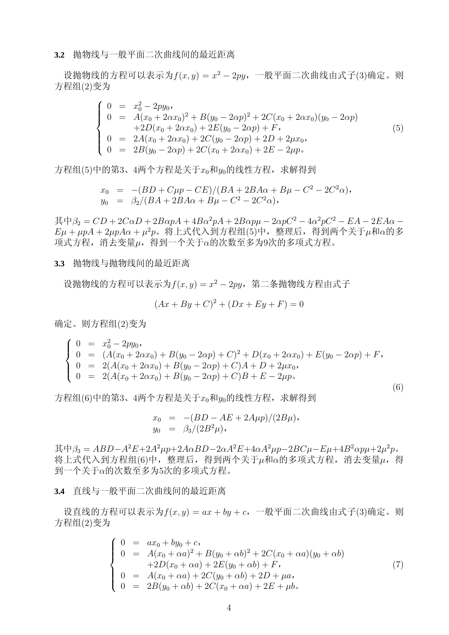#### **3.2** 抛物线与一般平面二次曲线间的最近距离

设抛物线的方程可以表示为 $f(x, y) = x^2 - 2py$ , 一般平面二次曲线由式子(3)确定。则 方程组(2)变为

$$
\begin{cases}\n0 = x_0^2 - 2py_0, \n0 = A(x_0 + 2\alpha x_0)^2 + B(y_0 - 2\alpha p)^2 + 2C(x_0 + 2\alpha x_0)(y_0 - 2\alpha p) \n+2D(x_0 + 2\alpha x_0) + 2E(y_0 - 2\alpha p) + F, \n0 = 2A(x_0 + 2\alpha x_0) + 2C(y_0 - 2\alpha p) + 2D + 2\mu x_0, \n0 = 2B(y_0 - 2\alpha p) + 2C(x_0 + 2\alpha x_0) + 2E - 2\mu p.\n\end{cases}
$$
\n(5)

方程组(5)中的第3、4两个方程是关于 $x_0$ 和 $y_0$ 的线性方程,求解得到

$$
x_0 = -(BD + C\mu p - CE)/(BA + 2BA\alpha + B\mu - C^2 - 2C^2\alpha),
$$
  
\n
$$
y_0 = \beta_2/(BA + 2BA\alpha + B\mu - C^2 - 2C^2\alpha),
$$

 $\ddot{\text{H}} + \beta_2 = CD + 2C\alpha D + 2B\alpha pA + 4B\alpha^2 pA + 2B\alpha p\mu - 2\alpha pC^2 - 4\alpha^2 pC^2 - EA - 2EA\alpha E\mu + \mu pA + 2\mu pA\alpha + \mu^2 p$ 。将上式代入到方程组(5)中, 整理后, 得到两个关于 $\mu$ 和α的多 项式方程,消去变量µ,得到一个关于α的次数至多为9次的多项式方程。

#### **3.3** 抛物线与抛物线间的最近距离

设抛物线的方程可以表示为 $f(x, y) = x^2 - 2py$ , 第二条抛物线方程由式子

$$
(Ax + By + C)^{2} + (Dx + Ey + F) = 0
$$

确定。则方程组(2)变为

$$
\begin{cases}\n0 &= x_0^2 - 2py_0, \\
0 &= (A(x_0 + 2\alpha x_0) + B(y_0 - 2\alpha p) + C)^2 + D(x_0 + 2\alpha x_0) + E(y_0 - 2\alpha p) + F, \\
0 &= 2(A(x_0 + 2\alpha x_0) + B(y_0 - 2\alpha p) + C)A + D + 2\mu x_0, \\
0 &= 2(A(x_0 + 2\alpha x_0) + B(y_0 - 2\alpha p) + C)B + E - 2\mu p.\n\end{cases}
$$

(6)

方程组(6)中的第3、4两个方程是关于 $x_0$ 和 $y_0$ 的线性方程,求解得到

$$
x_0 = -(BD - AE + 2A\mu p)/(2B\mu),
$$
  
\n
$$
y_0 = \beta_3/(2B^2\mu),
$$

 $\ddot{\text{H}}$   $\dot{\text{H}}\beta_3 = ABD - A^2E + 2A^2\mu p + 2A\alpha BD - 2\alpha A^2E + 4\alpha A^2\mu p - 2BC\mu - E\mu + 4B^2\alpha p\mu + 2\mu^2p$ . 将上式代入到方程组(6)中, 整理后, 得到两个关于μ和α的多项式方程, 消去变量μ, 得 到一个关于α的次数至多为5次的多项式方程。

**3.4** 直线与一般平面二次曲线间的最近距离

设直线的方程可以表示为 $f(x, y) = ax + by + c$ , 一般平面二次曲线由式子(3)确定。则 方程组(2)变为

$$
\begin{cases}\n0 = ax_0 + by_0 + c, \n0 = A(x_0 + \alpha a)^2 + B(y_0 + \alpha b)^2 + 2C(x_0 + \alpha a)(y_0 + \alpha b) \n+2D(x_0 + \alpha a) + 2E(y_0 + \alpha b) + F, \n0 = A(x_0 + \alpha a) + 2C(y_0 + \alpha b) + 2D + \mu a, \n0 = 2B(y_0 + \alpha b) + 2C(x_0 + \alpha a) + 2E + \mu b.\n\end{cases}
$$
\n(7)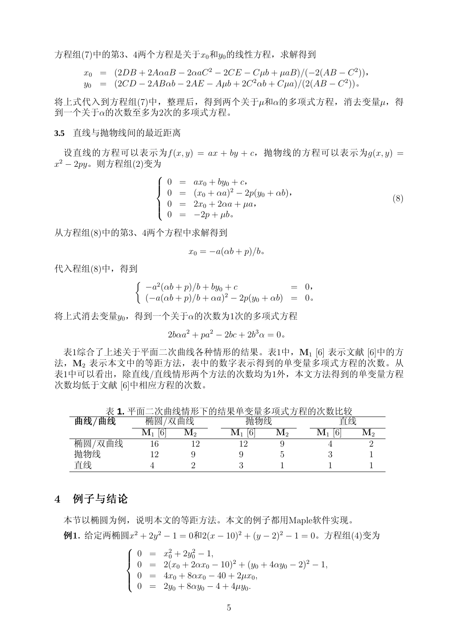方程组(7)中的第3、4两个方程是关于 $x_0$ 和 $y_0$ 的线性方程,求解得到

$$
x_0 = (2DB + 2A\alpha aB - 2\alpha aC^2 - 2CE - C\mu b + \mu aB)/(-2(AB - C^2)),
$$
  
\n
$$
y_0 = (2CD - 2AB\alpha b - 2AE - A\mu b + 2C^2\alpha b + C\mu a)/(2(AB - C^2)).
$$

将上式代入到方程组(7)中, 整理后, 得到两个关于μ和α的多项式方程, 消去变量μ, 得 到一个关于α的次数至多为2次的多项式方程。

#### **3.5** 直线与抛物线间的最近距离

设直线的方程可以表示为 $f(x, y) = ax + by + c$ , 抛物线的方程可以表示为 $q(x, y) =$  $x^2-2py$ 。则方程组 $(2)$ 变为

$$
\begin{cases}\n0 = ax_0 + by_0 + c, \n0 = (x_0 + \alpha a)^2 - 2p(y_0 + \alpha b), \n0 = 2x_0 + 2\alpha a + \mu a, \n0 = -2p + \mu b.\n\end{cases}
$$
\n(8)

从方程组(8)中的第3、4两个方程中求解得到

$$
x_0 = -a(\alpha b + p)/b \, .
$$

代入程组(8)中,得到

$$
\begin{cases}\n-a^2(\alpha b + p)/b + by_0 + c &= 0, \\
(-a(\alpha b + p)/b + \alpha a)^2 - 2p(y_0 + \alpha b) &= 0.\n\end{cases}
$$

将上式消去变量yo, 得到一个关于α的次数为1次的多项式方程

$$
2b\alpha a^2 + pa^2 - 2bc + 2b^3 \alpha = 0.
$$

表1综合了上述关于平面二次曲线各种情形的结果。表1中, M<sub>1</sub> [6] 表示文献 [6]中的方 法, M<sub>2</sub> 表示本文中的等距方法,表中的数字表示得到的单变量多项式方程的次数。从 表1中可以看出,除直线/直线情形两个方法的次数均为1外,本文方法得到的单变量方程 次数均低于文献 [6]中相应方程的次数。

表 **1.** 平面二次曲线情形下的结果单变量多项式方程的次数比较

| 曲线<br>曲线/  | 椭圆<br>曲线<br>XA<br>相矩              |              | 物线 |                   |                  | 线 |          |     |
|------------|-----------------------------------|--------------|----|-------------------|------------------|---|----------|-----|
|            | $6\phantom{.0}$<br>$\mathbf{M}_1$ | $\mathbf{M}$ |    | $\sim$<br>6<br>л. | 1VI <sub>2</sub> |   | 6<br>IVI | V19 |
| 椭圆<br>′双曲线 |                                   |              |    |                   |                  |   |          |     |
| 抛物线        | -6                                |              |    |                   |                  |   |          |     |
| 直线         |                                   |              |    |                   |                  |   |          |     |

#### 4 例子与结论

本节以椭圆为例,说明本文的等距方法。本文的例子都用Maple软件实现。 **例1.** 给定两椭圆 $x^2 + 2y^2 - 1 = 0$ 和 $2(x - 10)^2 + (y - 2)^2 - 1 = 0$ 。方程组(4)变为

$$
\begin{cases}\n0 = x_0^2 + 2y_0^2 - 1, \\
0 = 2(x_0 + 2\alpha x_0 - 10)^2 + (y_0 + 4\alpha y_0 - 2)^2 - 1, \\
0 = 4x_0 + 8\alpha x_0 - 40 + 2\mu x_0, \\
0 = 2y_0 + 8\alpha y_0 - 4 + 4\mu y_0.\n\end{cases}
$$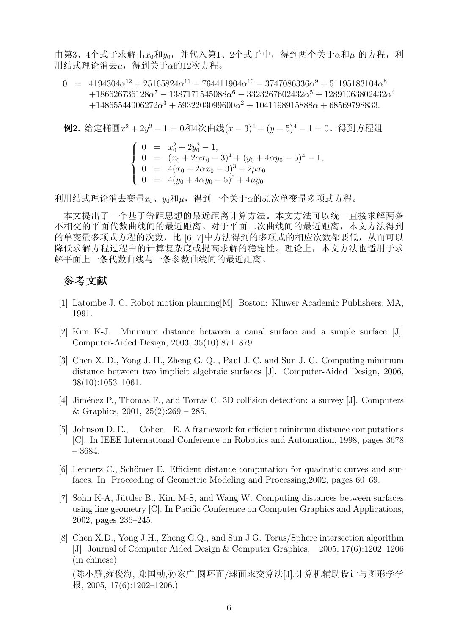由第3、4个式子求解出 $x_0$ 和 $y_0$ , 并代入第1、2个式子中, 得到两个关于α和μ 的方程, 利 用结式理论消去µ,得到关于α的12次方程。

 $0 = 4194304\alpha^{12} + 25165824\alpha^{11} - 764411904\alpha^{10} - 3747086336\alpha^9 + 51195183104\alpha^8$  $+186626736128\alpha^7 - 1387171545088\alpha^6 - 3323267602432\alpha^5 + 12891063802432\alpha^4$  $+14865544006272\alpha^3 + 5932203099600\alpha^2 + 1041198915888\alpha + 68569798833.$ 

例2. 给定椭圆x <sup>2</sup> + 2y <sup>2</sup> − 1 = 0和4次曲线(x − 3)<sup>4</sup> + (y − 5)<sup>4</sup> − 1 = 0。得到方程组 0 = x 2 <sup>0</sup> + 2y 2 <sup>0</sup> − 1, 0 = (x<sup>0</sup> + 2αx<sup>0</sup> − 3)<sup>4</sup> + (y<sup>0</sup> + 4αy<sup>0</sup> − 5)<sup>4</sup> − 1, 0 = 4(x<sup>0</sup> + 2αx<sup>0</sup> − 3)<sup>3</sup> + 2µx0, 0 = 4(y<sup>0</sup> + 4αy<sup>0</sup> − 5)<sup>3</sup> + 4µy0.

利用结式理论消去变量 $x_0$ 、 $y_0$ 和μ, 得到一个关于α的50次单变量多项式方程。

本文提出了一个基于等距思想的最近距离计算方法。本文方法可以统一直接求解两条 不相交的平面代数曲线间的最近距离。对于平面二次曲线间的最近距离,本文方法得到 的单变量多项式方程的次数,比 [6, 7]中方法得到的多项式的相应次数都要低,从而可以 降低求解方程过程中的计算复杂度或提高求解的稳定性。理论上,本文方法也适用于求 解平面上一条代数曲线与一条参数曲线间的最近距离。

### 参考文献

- [1] Latombe J. C. Robot motion planning[M]. Boston: Kluwer Academic Publishers, MA, 1991.
- [2] Kim K-J. Minimum distance between a canal surface and a simple surface [J]. Computer-Aided Design, 2003, 35(10):871–879.
- [3] Chen X. D., Yong J. H., Zheng G. Q. , Paul J. C. and Sun J. G. Computing minimum distance between two implicit algebraic surfaces [J]. Computer-Aided Design, 2006, 38(10):1053–1061.
- [4] Jiménez P., Thomas F., and Torras C. 3D collision detection: a survey [J]. Computers & Graphics,  $2001$ ,  $25(2):269 - 285$ .
- [5] Johnson D. E., Cohen E. A framework for efficient minimum distance computations [C]. In IEEE International Conference on Robotics and Automation, 1998, pages 3678 – 3684.
- [6] Lennerz C., Schömer E. Efficient distance computation for quadratic curves and surfaces. In Proceeding of Geometric Modeling and Processing,2002, pages 60–69.
- [7] Sohn K-A, Jüttler B., Kim M-S, and Wang W. Computing distances between surfaces using line geometry [C]. In Pacific Conference on Computer Graphics and Applications, 2002, pages 236–245.
- [8] Chen X.D., Yong J.H., Zheng G.Q., and Sun J.G. Torus/Sphere intersection algorithm [J]. Journal of Computer Aided Design & Computer Graphics, 2005, 17(6):1202–1206 (in chinese).

(陈小雕,雍俊海, 郑国勤,孙家广.圆环面/球面求交算法[J].计算机辅助设计与图形学学 报, 2005, 17(6):1202–1206.)